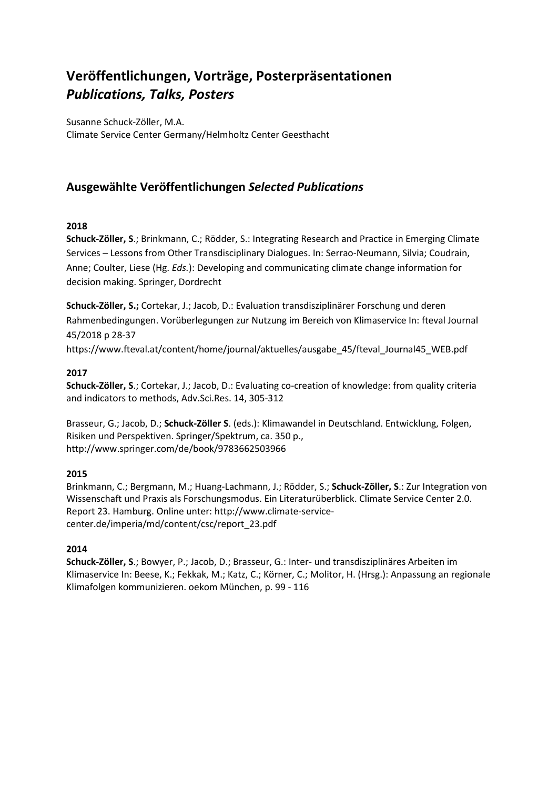# **Veröffentlichungen, Vorträge, Posterpräsentationen** *Publications, Talks, Posters*

Susanne Schuck-Zöller, M.A. Climate Service Center Germany/Helmholtz Center Geesthacht

# **Ausgewählte Veröffentlichungen** *Selected Publications*

### **2018**

**Schuck-Zöller, S**.; Brinkmann, C.; Rödder, S.: Integrating Research and Practice in Emerging Climate Services – Lessons from Other Transdisciplinary Dialogues. In: Serrao-Neumann, Silvia; Coudrain, Anne; Coulter, Liese (Hg. *Eds.*): Developing and communicating climate change information for decision making. Springer, Dordrecht

**Schuck-Zöller, S.;** Cortekar, J.; Jacob, D.: Evaluation transdisziplinärer Forschung und deren Rahmenbedingungen. Vorüberlegungen zur Nutzung im Bereich von Klimaservice In: fteval Journal 45/2018 p 28-37

https://www.fteval.at/content/home/journal/aktuelles/ausgabe\_45/fteval\_Journal45\_WEB.pdf

### **2017**

**Schuck-Zöller, S**.; Cortekar, J.; Jacob, D.: Evaluating co-creation of knowledge: from quality criteria and indicators to methods, Adv.Sci.Res. 14, 305-312

Brasseur, G.; Jacob, D.; **Schuck-Zöller S**. (eds.): Klimawandel in Deutschland. Entwicklung, Folgen, Risiken und Perspektiven. Springer/Spektrum, ca. 350 p., http://www.springer.com/de/book/9783662503966

## **2015**

Brinkmann, C.; Bergmann, M.; Huang-Lachmann, J.; Rödder, S.; **Schuck-Zöller, S**.: Zur Integration von Wissenschaft und Praxis als Forschungsmodus. Ein Literaturüberblick. Climate Service Center 2.0. Report 23. Hamburg. Online unter: http://www.climate-servicecenter.de/imperia/md/content/csc/report\_23.pdf

## **2014**

**Schuck-Zöller, S**.; Bowyer, P.; Jacob, D.; Brasseur, G.: Inter- und transdisziplinäres Arbeiten im Klimaservice In: Beese, K.; Fekkak, M.; Katz, C.; Körner, C.; Molitor, H. (Hrsg.): Anpassung an regionale Klimafolgen kommunizieren. oekom München, p. 99 - 116